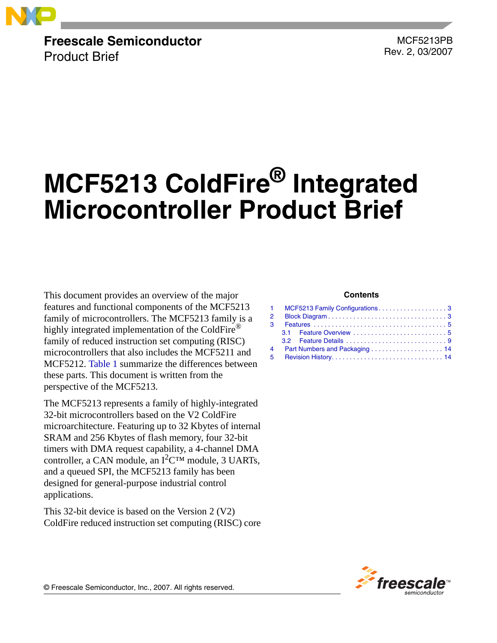

**Freescale Semiconductor** Product Brief

 MCF5213PB Rev. 2, 03/2007

# **MCF5213 ColdFire® Integrated Microcontroller Product Brief**

This document provides an overview of the major features and functional components of the MCF5213 family of microcontrollers. The MCF5213 family is a highly integrated implementation of the ColdFire® family of reduced instruction set computing (RISC) microcontrollers that also includes the MCF5211 and MCF5212. [Table 1](#page-2-2) summarize the differences between these parts. This document is written from the perspective of the MCF5213.

The MCF5213 represents a family of highly-integrated 32-bit microcontrollers based on the V2 ColdFire microarchitecture. Featuring up to 32 Kbytes of internal SRAM and 256 Kbytes of flash memory, four 32-bit timers with DMA request capability, a 4-channel DMA controller, a CAN module, an  $I^2C^{TM}$  module, 3 UARTs, and a queued SPI, the MCF5213 family has been designed for general-purpose industrial control applications.

This 32-bit device is based on the Version 2 (V2) ColdFire reduced instruction set computing (RISC) core

#### **Contents**

|                | 1 MCF5213 Family Configurations3 |
|----------------|----------------------------------|
| 2              |                                  |
| $\mathbf{B}$   |                                  |
|                |                                  |
|                |                                  |
| 4              | Part Numbers and Packaging  14   |
| 5 <sup>1</sup> |                                  |



© Freescale Semiconductor, Inc., 2007. All rights reserved.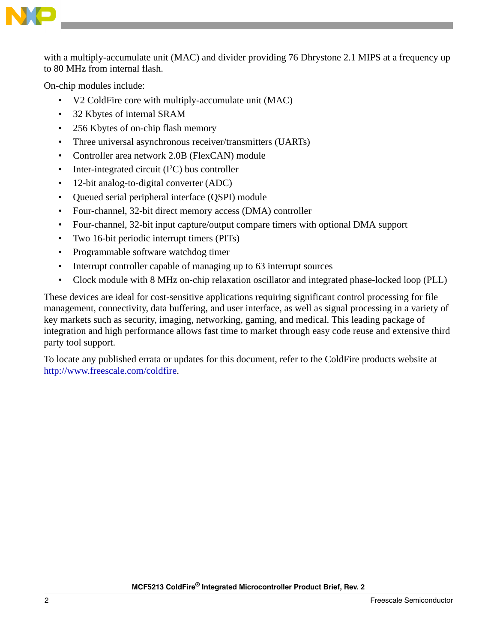

with a multiply-accumulate unit (MAC) and divider providing 76 Dhrystone 2.1 MIPS at a frequency up to 80 MHz from internal flash.

On-chip modules include:

- V2 ColdFire core with multiply-accumulate unit (MAC)
- 32 Kbytes of internal SRAM
- 256 Kbytes of on-chip flash memory
- Three universal asynchronous receiver/transmitters (UARTs)
- Controller area network 2.0B (FlexCAN) module
- Inter-integrated circuit  $(I<sup>2</sup>C)$  bus controller
- 12-bit analog-to-digital converter (ADC)
- Queued serial peripheral interface (QSPI) module
- Four-channel, 32-bit direct memory access (DMA) controller
- Four-channel, 32-bit input capture/output compare timers with optional DMA support
- Two 16-bit periodic interrupt timers (PITs)
- Programmable software watchdog timer
- Interrupt controller capable of managing up to 63 interrupt sources
- Clock module with 8 MHz on-chip relaxation oscillator and integrated phase-locked loop (PLL)

These devices are ideal for cost-sensitive applications requiring significant control processing for file management, connectivity, data buffering, and user interface, as well as signal processing in a variety of key markets such as security, imaging, networking, gaming, and medical. This leading package of integration and high performance allows fast time to market through easy code reuse and extensive third party tool support.

To locate any published errata or updates for this document, refer to the ColdFire products website at [http://www.freescale.com/coldfire.](http://www.motorola.com/coldfire)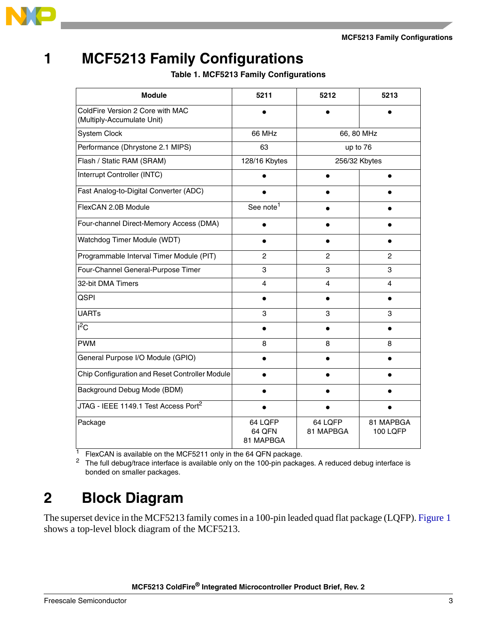**MCF5213 Family Configurations**



# <span id="page-2-2"></span><span id="page-2-0"></span>**1 MCF5213 Family Configurations**

**Table 1. MCF5213 Family Configurations**

| <b>Module</b>                                                  | 5211                           | 5212                 | 5213                         |
|----------------------------------------------------------------|--------------------------------|----------------------|------------------------------|
| ColdFire Version 2 Core with MAC<br>(Multiply-Accumulate Unit) |                                |                      |                              |
| <b>System Clock</b>                                            | 66 MHz                         | 66, 80 MHz           |                              |
| Performance (Dhrystone 2.1 MIPS)                               | 63                             | up to 76             |                              |
| Flash / Static RAM (SRAM)                                      | 128/16 Kbytes                  | 256/32 Kbytes        |                              |
| Interrupt Controller (INTC)                                    |                                | ٠                    |                              |
| Fast Analog-to-Digital Converter (ADC)                         |                                |                      |                              |
| FlexCAN 2.0B Module                                            | See note <sup>1</sup>          |                      |                              |
| Four-channel Direct-Memory Access (DMA)                        |                                |                      |                              |
| Watchdog Timer Module (WDT)                                    |                                |                      |                              |
| Programmable Interval Timer Module (PIT)                       | 2                              | $\overline{2}$       | 2                            |
| Four-Channel General-Purpose Timer                             | 3                              | 3                    | 3                            |
| 32-bit DMA Timers                                              | 4                              | 4                    | 4                            |
| <b>QSPI</b>                                                    |                                |                      |                              |
| <b>UARTs</b>                                                   | 3                              | 3                    | 3                            |
| $l^2C$                                                         |                                |                      |                              |
| <b>PWM</b>                                                     | 8                              | 8                    | 8                            |
| General Purpose I/O Module (GPIO)                              |                                |                      |                              |
| Chip Configuration and Reset Controller Module                 |                                |                      |                              |
| Background Debug Mode (BDM)                                    |                                |                      |                              |
| JTAG - IEEE 1149.1 Test Access Port <sup>2</sup>               |                                |                      |                              |
| Package                                                        | 64 LQFP<br>64 OFN<br>81 MAPBGA | 64 LQFP<br>81 MAPBGA | 81 MAPBGA<br><b>100 LQFP</b> |

 $\frac{1}{1}$  FlexCAN is available on the MCF5211 only in the 64 QFN package.<br>
<sup>2</sup> The full debug/trace interface is available only on the 100-pin package.

The full debug/trace interface is available only on the 100-pin packages. A reduced debug interface is bonded on smaller packages.

# <span id="page-2-1"></span>**2 Block Diagram**

The superset device in the MCF5213 family comes in a 100-pin leaded quad flat package (LQFP). [Figure 1](#page-3-0) shows a top-level block diagram of the MCF5213.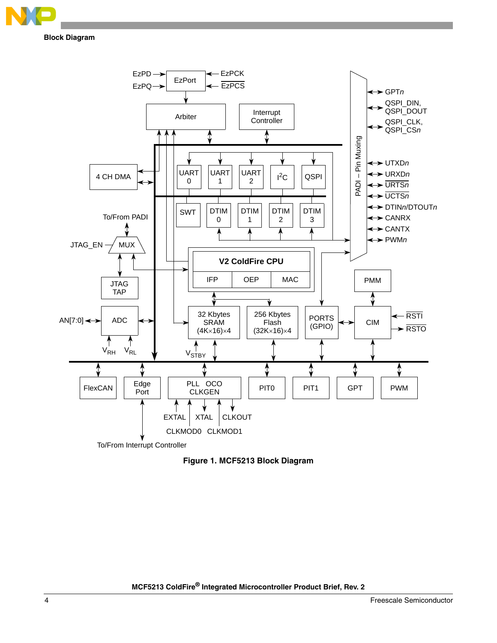

**Block Diagram**



<span id="page-3-0"></span>**Figure 1. MCF5213 Block Diagram**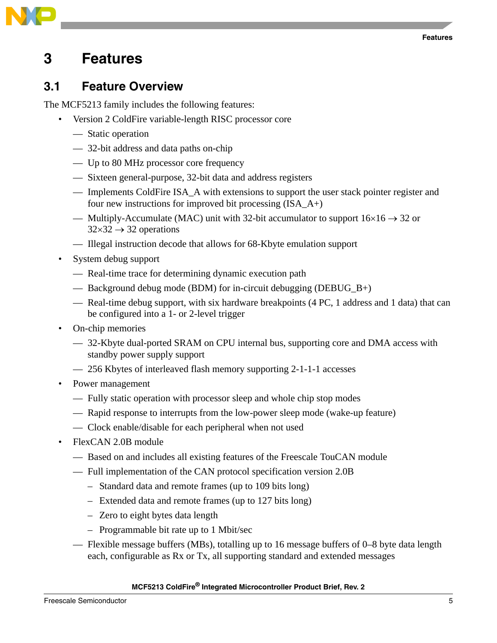

#### <span id="page-4-0"></span>**3 Features**

#### <span id="page-4-1"></span>**3.1 Feature Overview**

The MCF5213 family includes the following features:

- Version 2 ColdFire variable-length RISC processor core
	- Static operation
	- 32-bit address and data paths on-chip
	- Up to 80 MHz processor core frequency
	- Sixteen general-purpose, 32-bit data and address registers
	- Implements ColdFire ISA\_A with extensions to support the user stack pointer register and four new instructions for improved bit processing  $(ISA_A+)$
	- Multiply-Accumulate (MAC) unit with 32-bit accumulator to support  $16\times16\rightarrow32$  or  $32\times32 \rightarrow 32$  operations
	- Illegal instruction decode that allows for 68-Kbyte emulation support
- System debug support
	- Real-time trace for determining dynamic execution path
	- Background debug mode (BDM) for in-circuit debugging (DEBUG\_B+)
	- Real-time debug support, with six hardware breakpoints (4 PC, 1 address and 1 data) that can be configured into a 1- or 2-level trigger
- On-chip memories
	- 32-Kbyte dual-ported SRAM on CPU internal bus, supporting core and DMA access with standby power supply support
	- 256 Kbytes of interleaved flash memory supporting 2-1-1-1 accesses
- Power management
	- Fully static operation with processor sleep and whole chip stop modes
	- Rapid response to interrupts from the low-power sleep mode (wake-up feature)
	- Clock enable/disable for each peripheral when not used
- FlexCAN 2.0B module
	- Based on and includes all existing features of the Freescale TouCAN module
	- Full implementation of the CAN protocol specification version 2.0B
		- Standard data and remote frames (up to 109 bits long)
		- Extended data and remote frames (up to 127 bits long)
		- Zero to eight bytes data length
		- Programmable bit rate up to 1 Mbit/sec
	- Flexible message buffers (MBs), totalling up to 16 message buffers of 0–8 byte data length each, configurable as Rx or Tx, all supporting standard and extended messages

#### **MCF5213 ColdFire® Integrated Microcontroller Product Brief, Rev. 2**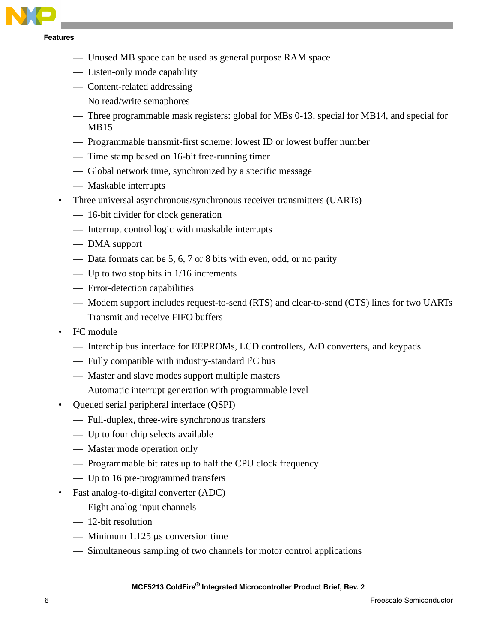

**Features**

- Unused MB space can be used as general purpose RAM space
- Listen-only mode capability
- Content-related addressing
- No read/write semaphores
- Three programmable mask registers: global for MBs 0-13, special for MB14, and special for MB15
- Programmable transmit-first scheme: lowest ID or lowest buffer number
- Time stamp based on 16-bit free-running timer
- Global network time, synchronized by a specific message
- Maskable interrupts
- Three universal asynchronous/synchronous receiver transmitters (UARTs)
	- 16-bit divider for clock generation
	- Interrupt control logic with maskable interrupts
	- DMA support
	- Data formats can be 5, 6, 7 or 8 bits with even, odd, or no parity
	- Up to two stop bits in  $1/16$  increments
	- Error-detection capabilities
	- Modem support includes request-to-send (RTS) and clear-to-send (CTS) lines for two UARTs
	- Transmit and receive FIFO buffers
- I<sup>2</sup>C module
	- Interchip bus interface for EEPROMs, LCD controllers, A/D converters, and keypads
	- $-$  Fully compatible with industry-standard I<sup>2</sup>C bus
	- Master and slave modes support multiple masters
	- Automatic interrupt generation with programmable level
- Queued serial peripheral interface (QSPI)
	- Full-duplex, three-wire synchronous transfers
	- Up to four chip selects available
	- Master mode operation only
	- Programmable bit rates up to half the CPU clock frequency
	- Up to 16 pre-programmed transfers
- Fast analog-to-digital converter (ADC)
	- Eight analog input channels
	- 12-bit resolution
	- Minimum 1.125 μs conversion time
	- Simultaneous sampling of two channels for motor control applications

#### **MCF5213 ColdFire® Integrated Microcontroller Product Brief, Rev. 2**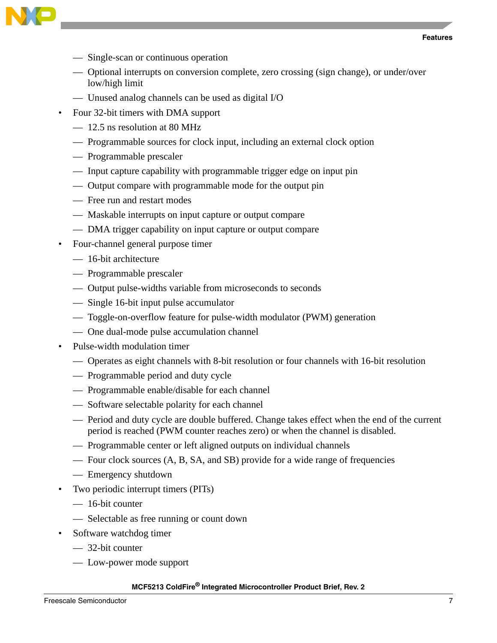



- Single-scan or continuous operation
- Optional interrupts on conversion complete, zero crossing (sign change), or under/over low/high limit
- Unused analog channels can be used as digital I/O
- Four 32-bit timers with DMA support
	- 12.5 ns resolution at 80 MHz
	- Programmable sources for clock input, including an external clock option
	- Programmable prescaler
	- Input capture capability with programmable trigger edge on input pin
	- Output compare with programmable mode for the output pin
	- Free run and restart modes
	- Maskable interrupts on input capture or output compare
	- DMA trigger capability on input capture or output compare
- Four-channel general purpose timer
	- 16-bit architecture
	- Programmable prescaler
	- Output pulse-widths variable from microseconds to seconds
	- Single 16-bit input pulse accumulator
	- Toggle-on-overflow feature for pulse-width modulator (PWM) generation
	- One dual-mode pulse accumulation channel
- Pulse-width modulation timer
	- Operates as eight channels with 8-bit resolution or four channels with 16-bit resolution
	- Programmable period and duty cycle
	- Programmable enable/disable for each channel
	- Software selectable polarity for each channel
	- Period and duty cycle are double buffered. Change takes effect when the end of the current period is reached (PWM counter reaches zero) or when the channel is disabled.
	- Programmable center or left aligned outputs on individual channels
	- Four clock sources (A, B, SA, and SB) provide for a wide range of frequencies
	- Emergency shutdown
- Two periodic interrupt timers (PITs)
	- 16-bit counter
	- Selectable as free running or count down
- Software watchdog timer
	- 32-bit counter
	- Low-power mode support

#### **MCF5213 ColdFire® Integrated Microcontroller Product Brief, Rev. 2**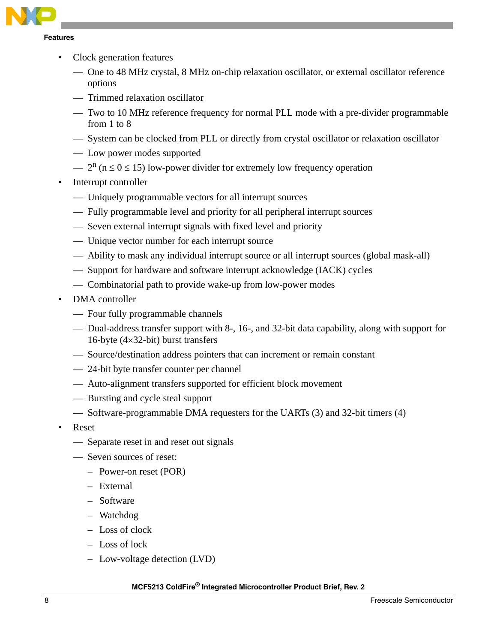

- Clock generation features
	- One to 48 MHz crystal, 8 MHz on-chip relaxation oscillator, or external oscillator reference options
	- Trimmed relaxation oscillator
	- Two to 10 MHz reference frequency for normal PLL mode with a pre-divider programmable from 1 to 8
	- System can be clocked from PLL or directly from crystal oscillator or relaxation oscillator
	- Low power modes supported
	- $-2^{n}$  (n  $\leq$  0  $\leq$  15) low-power divider for extremely low frequency operation
- Interrupt controller
	- Uniquely programmable vectors for all interrupt sources
	- Fully programmable level and priority for all peripheral interrupt sources
	- Seven external interrupt signals with fixed level and priority
	- Unique vector number for each interrupt source
	- Ability to mask any individual interrupt source or all interrupt sources (global mask-all)
	- Support for hardware and software interrupt acknowledge (IACK) cycles
	- Combinatorial path to provide wake-up from low-power modes
- DMA controller
	- Four fully programmable channels
	- Dual-address transfer support with 8-, 16-, and 32-bit data capability, along with support for 16-byte (4×32-bit) burst transfers
	- Source/destination address pointers that can increment or remain constant
	- 24-bit byte transfer counter per channel
	- Auto-alignment transfers supported for efficient block movement
	- Bursting and cycle steal support
	- Software-programmable DMA requesters for the UARTs (3) and 32-bit timers (4)
- Reset
	- Separate reset in and reset out signals
	- Seven sources of reset:
		- Power-on reset (POR)
		- External
		- Software
		- Watchdog
		- Loss of clock
		- Loss of lock
		- Low-voltage detection (LVD)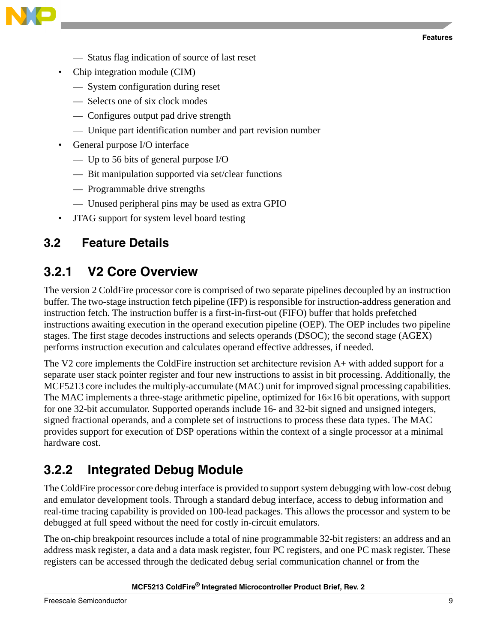

- Status flag indication of source of last reset
- Chip integration module (CIM)
	- System configuration during reset
	- Selects one of six clock modes
	- Configures output pad drive strength
	- Unique part identification number and part revision number
- General purpose I/O interface
	- Up to 56 bits of general purpose I/O
	- Bit manipulation supported via set/clear functions
	- Programmable drive strengths
	- Unused peripheral pins may be used as extra GPIO
- JTAG support for system level board testing

#### <span id="page-8-0"></span>**3.2 Feature Details**

#### **3.2.1 V2 Core Overview**

The version 2 ColdFire processor core is comprised of two separate pipelines decoupled by an instruction buffer. The two-stage instruction fetch pipeline (IFP) is responsible for instruction-address generation and instruction fetch. The instruction buffer is a first-in-first-out (FIFO) buffer that holds prefetched instructions awaiting execution in the operand execution pipeline (OEP). The OEP includes two pipeline stages. The first stage decodes instructions and selects operands (DSOC); the second stage (AGEX) performs instruction execution and calculates operand effective addresses, if needed.

The V2 core implements the ColdFire instruction set architecture revision A+ with added support for a separate user stack pointer register and four new instructions to assist in bit processing. Additionally, the MCF5213 core includes the multiply-accumulate (MAC) unit for improved signal processing capabilities. The MAC implements a three-stage arithmetic pipeline, optimized for 16×16 bit operations, with support for one 32-bit accumulator. Supported operands include 16- and 32-bit signed and unsigned integers, signed fractional operands, and a complete set of instructions to process these data types. The MAC provides support for execution of DSP operations within the context of a single processor at a minimal hardware cost.

#### **3.2.2 Integrated Debug Module**

The ColdFire processor core debug interface is provided to support system debugging with low-cost debug and emulator development tools. Through a standard debug interface, access to debug information and real-time tracing capability is provided on 100-lead packages. This allows the processor and system to be debugged at full speed without the need for costly in-circuit emulators.

The on-chip breakpoint resources include a total of nine programmable 32-bit registers: an address and an address mask register, a data and a data mask register, four PC registers, and one PC mask register. These registers can be accessed through the dedicated debug serial communication channel or from the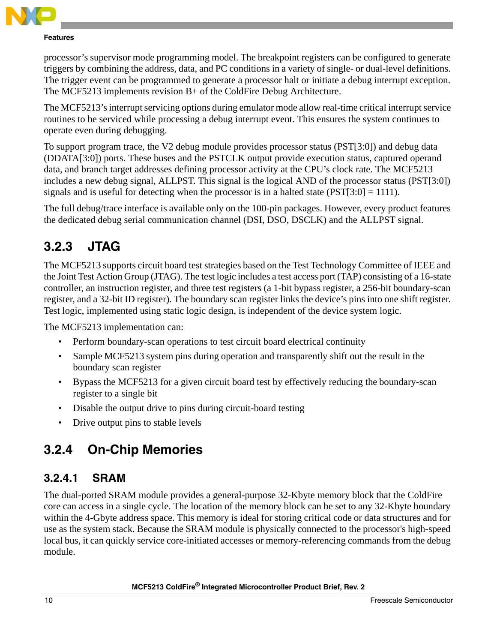

#### **Features**

processor's supervisor mode programming model. The breakpoint registers can be configured to generate triggers by combining the address, data, and PC conditions in a variety of single- or dual-level definitions. The trigger event can be programmed to generate a processor halt or initiate a debug interrupt exception. The MCF5213 implements revision B+ of the ColdFire Debug Architecture.

The MCF5213's interrupt servicing options during emulator mode allow real-time critical interrupt service routines to be serviced while processing a debug interrupt event. This ensures the system continues to operate even during debugging.

To support program trace, the V2 debug module provides processor status (PST[3:0]) and debug data (DDATA[3:0]) ports. These buses and the PSTCLK output provide execution status, captured operand data, and branch target addresses defining processor activity at the CPU's clock rate. The MCF5213 includes a new debug signal, ALLPST. This signal is the logical AND of the processor status (PST[3:0]) signals and is useful for detecting when the processor is in a halted state ( $PST[3:0] = 1111$ ).

The full debug/trace interface is available only on the 100-pin packages. However, every product features the dedicated debug serial communication channel (DSI, DSO, DSCLK) and the ALLPST signal.

### **3.2.3 JTAG**

The MCF5213 supports circuit board test strategies based on the Test Technology Committee of IEEE and the Joint Test Action Group (JTAG). The test logic includes a test access port (TAP) consisting of a 16-state controller, an instruction register, and three test registers (a 1-bit bypass register, a 256-bit boundary-scan register, and a 32-bit ID register). The boundary scan register links the device's pins into one shift register. Test logic, implemented using static logic design, is independent of the device system logic.

The MCF5213 implementation can:

- Perform boundary-scan operations to test circuit board electrical continuity
- Sample MCF5213 system pins during operation and transparently shift out the result in the boundary scan register
- Bypass the MCF5213 for a given circuit board test by effectively reducing the boundary-scan register to a single bit
- Disable the output drive to pins during circuit-board testing
- Drive output pins to stable levels

### **3.2.4 On-Chip Memories**

#### **3.2.4.1 SRAM**

The dual-ported SRAM module provides a general-purpose 32-Kbyte memory block that the ColdFire core can access in a single cycle. The location of the memory block can be set to any 32-Kbyte boundary within the 4-Gbyte address space. This memory is ideal for storing critical code or data structures and for use as the system stack. Because the SRAM module is physically connected to the processor's high-speed local bus, it can quickly service core-initiated accesses or memory-referencing commands from the debug module.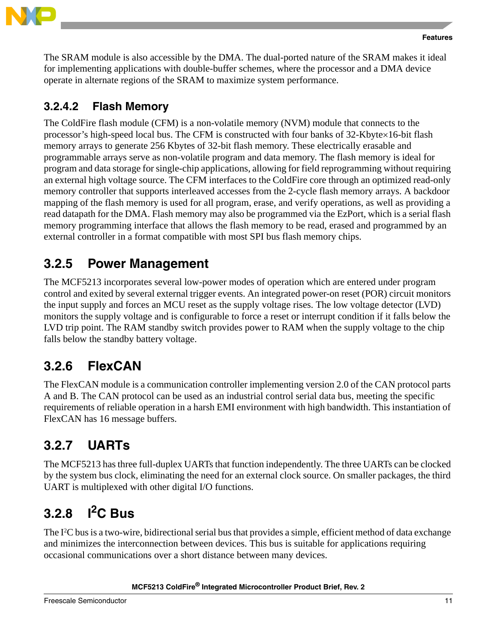

The SRAM module is also accessible by the DMA. The dual-ported nature of the SRAM makes it ideal for implementing applications with double-buffer schemes, where the processor and a DMA device operate in alternate regions of the SRAM to maximize system performance.

#### **3.2.4.2 Flash Memory**

The ColdFire flash module (CFM) is a non-volatile memory (NVM) module that connects to the processor's high-speed local bus. The CFM is constructed with four banks of 32-Kbyte×16-bit flash memory arrays to generate 256 Kbytes of 32-bit flash memory. These electrically erasable and programmable arrays serve as non-volatile program and data memory. The flash memory is ideal for program and data storage for single-chip applications, allowing for field reprogramming without requiring an external high voltage source. The CFM interfaces to the ColdFire core through an optimized read-only memory controller that supports interleaved accesses from the 2-cycle flash memory arrays. A backdoor mapping of the flash memory is used for all program, erase, and verify operations, as well as providing a read datapath for the DMA. Flash memory may also be programmed via the EzPort, which is a serial flash memory programming interface that allows the flash memory to be read, erased and programmed by an external controller in a format compatible with most SPI bus flash memory chips.

### **3.2.5 Power Management**

The MCF5213 incorporates several low-power modes of operation which are entered under program control and exited by several external trigger events. An integrated power-on reset (POR) circuit monitors the input supply and forces an MCU reset as the supply voltage rises. The low voltage detector (LVD) monitors the supply voltage and is configurable to force a reset or interrupt condition if it falls below the LVD trip point. The RAM standby switch provides power to RAM when the supply voltage to the chip falls below the standby battery voltage.

### **3.2.6 FlexCAN**

The FlexCAN module is a communication controller implementing version 2.0 of the CAN protocol parts A and B. The CAN protocol can be used as an industrial control serial data bus, meeting the specific requirements of reliable operation in a harsh EMI environment with high bandwidth. This instantiation of FlexCAN has 16 message buffers.

# **3.2.7 UARTs**

The MCF5213 has three full-duplex UARTs that function independently. The three UARTs can be clocked by the system bus clock, eliminating the need for an external clock source. On smaller packages, the third UART is multiplexed with other digital I/O functions.

# **3.2.8 I2C Bus**

The I<sup>2</sup>C bus is a two-wire, bidirectional serial bus that provides a simple, efficient method of data exchange and minimizes the interconnection between devices. This bus is suitable for applications requiring occasional communications over a short distance between many devices.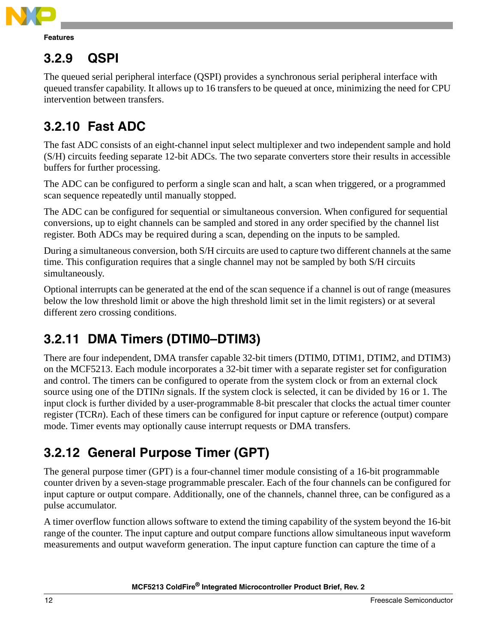

## **3.2.9 QSPI**

The queued serial peripheral interface (QSPI) provides a synchronous serial peripheral interface with queued transfer capability. It allows up to 16 transfers to be queued at once, minimizing the need for CPU intervention between transfers.

# **3.2.10 Fast ADC**

The fast ADC consists of an eight-channel input select multiplexer and two independent sample and hold (S/H) circuits feeding separate 12-bit ADCs. The two separate converters store their results in accessible buffers for further processing.

The ADC can be configured to perform a single scan and halt, a scan when triggered, or a programmed scan sequence repeatedly until manually stopped.

The ADC can be configured for sequential or simultaneous conversion. When configured for sequential conversions, up to eight channels can be sampled and stored in any order specified by the channel list register. Both ADCs may be required during a scan, depending on the inputs to be sampled.

During a simultaneous conversion, both S/H circuits are used to capture two different channels at the same time. This configuration requires that a single channel may not be sampled by both S/H circuits simultaneously.

Optional interrupts can be generated at the end of the scan sequence if a channel is out of range (measures below the low threshold limit or above the high threshold limit set in the limit registers) or at several different zero crossing conditions.

# **3.2.11 DMA Timers (DTIM0–DTIM3)**

There are four independent, DMA transfer capable 32-bit timers (DTIM0, DTIM1, DTIM2, and DTIM3) on the MCF5213. Each module incorporates a 32-bit timer with a separate register set for configuration and control. The timers can be configured to operate from the system clock or from an external clock source using one of the DTIN*n* signals. If the system clock is selected, it can be divided by 16 or 1. The input clock is further divided by a user-programmable 8-bit prescaler that clocks the actual timer counter register (TCR*n*). Each of these timers can be configured for input capture or reference (output) compare mode. Timer events may optionally cause interrupt requests or DMA transfers.

# **3.2.12 General Purpose Timer (GPT)**

The general purpose timer (GPT) is a four-channel timer module consisting of a 16-bit programmable counter driven by a seven-stage programmable prescaler. Each of the four channels can be configured for input capture or output compare. Additionally, one of the channels, channel three, can be configured as a pulse accumulator.

A timer overflow function allows software to extend the timing capability of the system beyond the 16-bit range of the counter. The input capture and output compare functions allow simultaneous input waveform measurements and output waveform generation. The input capture function can capture the time of a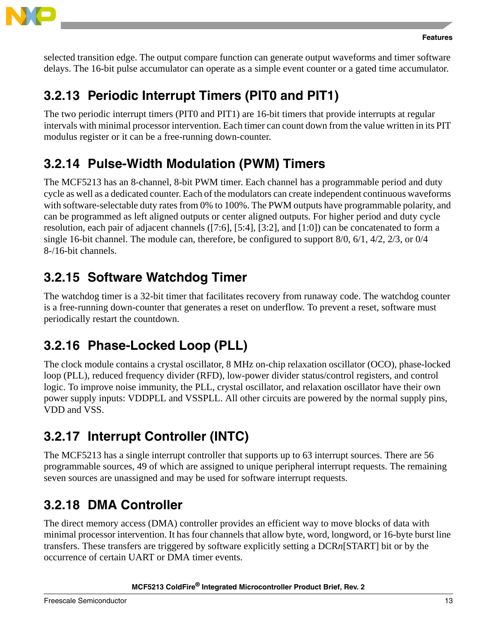

selected transition edge. The output compare function can generate output waveforms and timer software delays. The 16-bit pulse accumulator can operate as a simple event counter or a gated time accumulator.

### **3.2.13 Periodic Interrupt Timers (PIT0 and PIT1)**

The two periodic interrupt timers (PIT0 and PIT1) are 16-bit timers that provide interrupts at regular intervals with minimal processor intervention. Each timer can count down from the value written in its PIT modulus register or it can be a free-running down-counter.

# **3.2.14 Pulse-Width Modulation (PWM) Timers**

The MCF5213 has an 8-channel, 8-bit PWM timer. Each channel has a programmable period and duty cycle as well as a dedicated counter. Each of the modulators can create independent continuous waveforms with software-selectable duty rates from 0% to 100%. The PWM outputs have programmable polarity, and can be programmed as left aligned outputs or center aligned outputs. For higher period and duty cycle resolution, each pair of adjacent channels ([7:6], [5:4], [3:2], and [1:0]) can be concatenated to form a single 16-bit channel. The module can, therefore, be configured to support 8/0, 6/1, 4/2, 2/3, or 0/4 8-/16-bit channels.

# **3.2.15 Software Watchdog Timer**

The watchdog timer is a 32-bit timer that facilitates recovery from runaway code. The watchdog counter is a free-running down-counter that generates a reset on underflow. To prevent a reset, software must periodically restart the countdown.

# **3.2.16 Phase-Locked Loop (PLL)**

The clock module contains a crystal oscillator, 8 MHz on-chip relaxation oscillator (OCO), phase-locked loop (PLL), reduced frequency divider (RFD), low-power divider status/control registers, and control logic. To improve noise immunity, the PLL, crystal oscillator, and relaxation oscillator have their own power supply inputs: VDDPLL and VSSPLL. All other circuits are powered by the normal supply pins, VDD and VSS.

# **3.2.17 Interrupt Controller (INTC)**

The MCF5213 has a single interrupt controller that supports up to 63 interrupt sources. There are 56 programmable sources, 49 of which are assigned to unique peripheral interrupt requests. The remaining seven sources are unassigned and may be used for software interrupt requests.

# **3.2.18 DMA Controller**

The direct memory access (DMA) controller provides an efficient way to move blocks of data with minimal processor intervention. It has four channels that allow byte, word, longword, or 16-byte burst line transfers. These transfers are triggered by software explicitly setting a DCR*n*[START] bit or by the occurrence of certain UART or DMA timer events.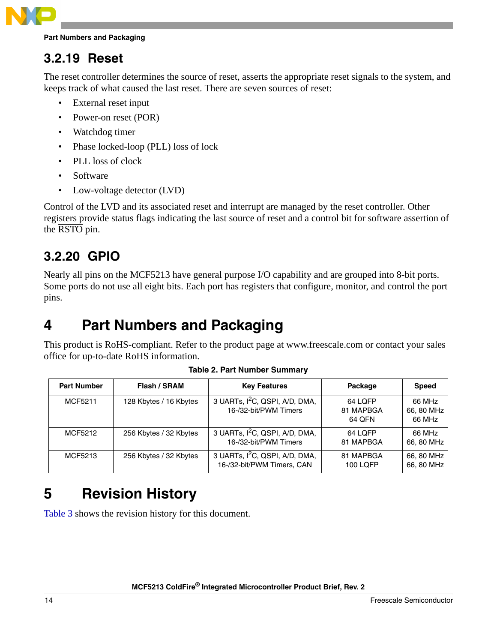

#### **Part Numbers and Packaging**

#### **3.2.19 Reset**

The reset controller determines the source of reset, asserts the appropriate reset signals to the system, and keeps track of what caused the last reset. There are seven sources of reset:

- External reset input
- Power-on reset (POR)
- Watchdog timer
- Phase locked-loop (PLL) loss of lock
- PLL loss of clock
- Software
- Low-voltage detector (LVD)

Control of the LVD and its associated reset and interrupt are managed by the reset controller. Other registers provide status flags indicating the last source of reset and a control bit for software assertion of the RSTO pin.

#### **3.2.20 GPIO**

Nearly all pins on the MCF5213 have general purpose I/O capability and are grouped into 8-bit ports. Some ports do not use all eight bits. Each port has registers that configure, monitor, and control the port pins.

# <span id="page-13-0"></span>**4 Part Numbers and Packaging**

This product is RoHS-compliant. Refer to the product page at www.freescale.com or contact your sales office for up-to-date RoHS information.

<span id="page-13-2"></span>

| <b>Part Number</b> | Flash / SRAM           | <b>Key Features</b>                                                      | Package                        | <b>Speed</b>                   |
|--------------------|------------------------|--------------------------------------------------------------------------|--------------------------------|--------------------------------|
| MCF5211            | 128 Kbytes / 16 Kbytes | 3 UARTs, I <sup>2</sup> C, QSPI, A/D, DMA,<br>16-/32-bit/PWM Timers      | 64 LOFP<br>81 MAPBGA<br>64 QFN | 66 MHz<br>66, 80 MHz<br>66 MHz |
| MCF5212            | 256 Kbytes / 32 Kbytes | 3 UARTs, I <sup>2</sup> C, QSPI, A/D, DMA,<br>16-/32-bit/PWM Timers      | 64 LOFP<br>81 MAPBGA           | 66 MHz<br>66, 80 MHz           |
| MCF5213            | 256 Kbytes / 32 Kbytes | 3 UARTs, I <sup>2</sup> C, QSPI, A/D, DMA,<br>16-/32-bit/PWM Timers, CAN | 81 MAPBGA<br>100 LQFP          | 66, 80 MHz<br>66, 80 MHz       |

**Table 2. Part Number Summary**

# <span id="page-13-1"></span>**5 Revision History**

[Table 3](#page-14-0) shows the revision history for this document.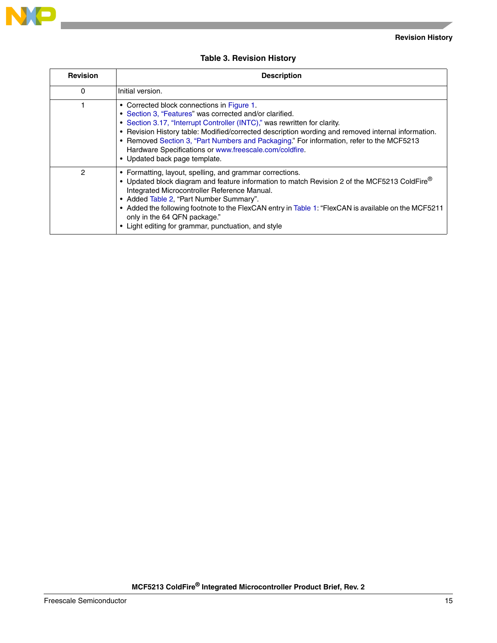

#### **Table 3. Revision History**

<span id="page-14-0"></span>

| <b>Revision</b> | <b>Description</b>                                                                                                                                                                                                                                                                                                                                                                                                                                                              |
|-----------------|---------------------------------------------------------------------------------------------------------------------------------------------------------------------------------------------------------------------------------------------------------------------------------------------------------------------------------------------------------------------------------------------------------------------------------------------------------------------------------|
| 0               | Initial version.                                                                                                                                                                                                                                                                                                                                                                                                                                                                |
|                 | • Corrected block connections in Figure 1.<br>• Section 3, "Features" was corrected and/or clarified.<br>• Section 3.17, "Interrupt Controller (INTC)," was rewritten for clarity.<br>• Revision History table: Modified/corrected description wording and removed internal information.<br>• Removed Section 3, "Part Numbers and Packaging." For information, refer to the MCF5213<br>Hardware Specifications or www.freescale.com/coldfire.<br>• Updated back page template. |
| 2               | • Formatting, layout, spelling, and grammar corrections.<br>• Updated block diagram and feature information to match Revision 2 of the MCF5213 ColdFire®<br>Integrated Microcontroller Reference Manual.<br>• Added Table 2, "Part Number Summary".<br>• Added the following footnote to the FlexCAN entry in Table 1: "FlexCAN is available on the MCF5211<br>only in the 64 QFN package."<br>• Light editing for grammar, punctuation, and style                              |

**NP** 

 $\overline{\phantom{a}}$